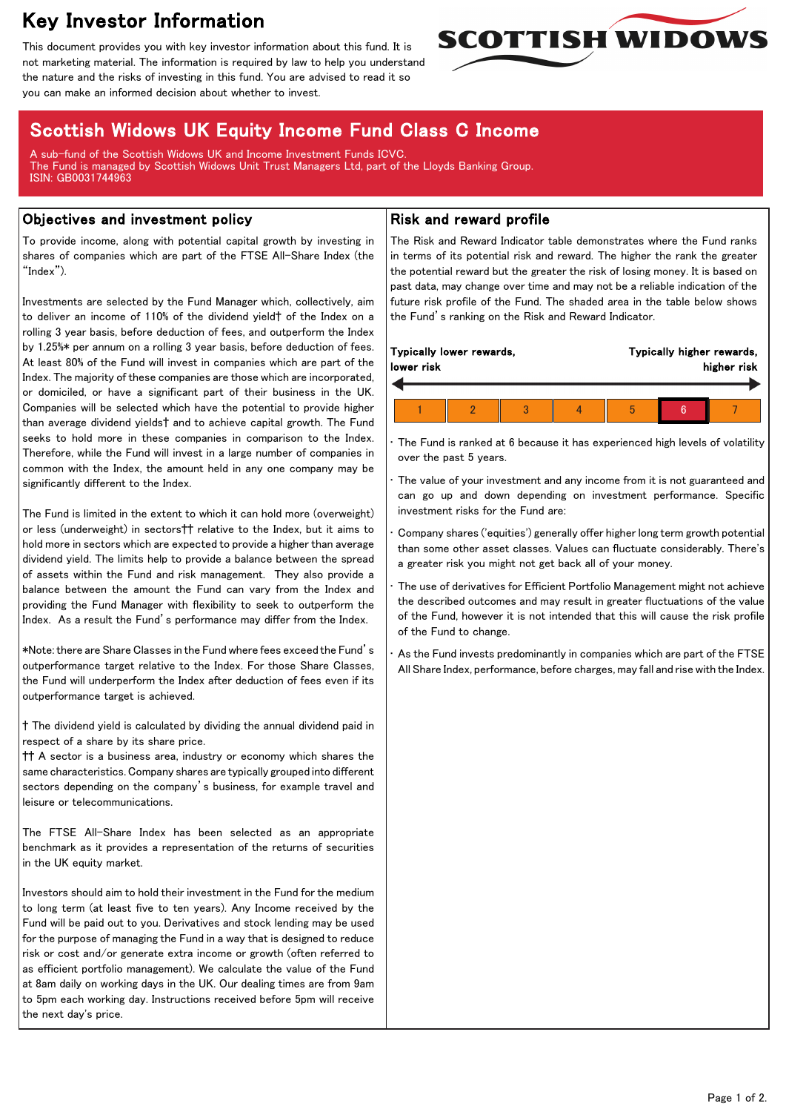# Key Investor Information

This document provides you with key investor information about this fund. It is not marketing material. The information is required by law to help you understand the nature and the risks of investing in this fund. You are advised to read it so you can make an informed decision about whether to invest.

# Scottish Widows UK Equity Income Fund Class C Income

A sub-fund of the Scottish Widows UK and Income Investment Funds ICVC. The Fund is managed by Scottish Widows Unit Trust Managers Ltd, part of the Lloyds Banking Group. ISIN: GB0031744963

### Objectives and investment policy

To provide income, along with potential capital growth by investing in shares of companies which are part of the FTSE All-Share Index (the "Index").

Investments are selected by the Fund Manager which, collectively, aim to deliver an income of 110% of the dividend yield† of the Index on a rolling 3 year basis, before deduction of fees, and outperform the Index by 1.25%\* per annum on a rolling 3 year basis, before deduction of fees. At least 80% of the Fund will invest in companies which are part of the Index. The majority of these companies are those which are incorporated, or domiciled, or have a significant part of their business in the UK. Companies will be selected which have the potential to provide higher than average dividend yields† and to achieve capital growth. The Fund seeks to hold more in these companies in comparison to the Index. Therefore, while the Fund will invest in a large number of companies in common with the Index, the amount held in any one company may be significantly different to the Index.

The Fund is limited in the extent to which it can hold more (overweight) or less (underweight) in sectors†† relative to the Index, but it aims to hold more in sectors which are expected to provide a higher than average dividend yield. The limits help to provide a balance between the spread of assets within the Fund and risk management. They also provide a balance between the amount the Fund can vary from the Index and providing the Fund Manager with flexibility to seek to outperform the Index. As a result the Fund's performance may differ from the Index.

\*Note: there are Share Classes in the Fund where fees exceed the Fund's outperformance target relative to the Index. For those Share Classes, the Fund will underperform the Index after deduction of fees even if its outperformance target is achieved.

† The dividend yield is calculated by dividing the annual dividend paid in respect of a share by its share price.

†† A sector is a business area, industry or economy which shares the same characteristics. Company shares are typically grouped into different sectors depending on the company's business, for example travel and leisure or telecommunications.

The FTSE All-Share Index has been selected as an appropriate benchmark as it provides a representation of the returns of securities in the UK equity market.

Investors should aim to hold their investment in the Fund for the medium to long term (at least five to ten years). Any Income received by the Fund will be paid out to you. Derivatives and stock lending may be used for the purpose of managing the Fund in a way that is designed to reduce risk or cost and/or generate extra income or growth (often referred to as efficient portfolio management). We calculate the value of the Fund at 8am daily on working days in the UK. Our dealing times are from 9am to 5pm each working day. Instructions received before 5pm will receive the next day's price.

## Risk and reward profile

The Risk and Reward Indicator table demonstrates where the Fund ranks in terms of its potential risk and reward. The higher the rank the greater the potential reward but the greater the risk of losing money. It is based on past data, may change over time and may not be a reliable indication of the future risk profile of the Fund. The shaded area in the table below shows the Fund's ranking on the Risk and Reward Indicator.

**SCOTTISH WIDOWS** 

| lower risk |  |   | higher risk |
|------------|--|---|-------------|
|            |  | 5 |             |

The Fund is ranked at 6 because it has experienced high levels of volatility over the past 5 years.

The value of your investment and any income from it is not guaranteed and can go up and down depending on investment performance. Specific investment risks for the Fund are:

• Company shares ('equities') generally offer higher long term growth potential than some other asset classes. Values can fluctuate considerably. There's a greater risk you might not get back all of your money.

The use of derivatives for Efficient Portfolio Management might not achieve the described outcomes and may result in greater fluctuations of the value of the Fund, however it is not intended that this will cause the risk profile of the Fund to change.

As the Fund invests predominantly in companies which are part of the FTSE All Share Index, performance, before charges, may fall and rise with the Index.